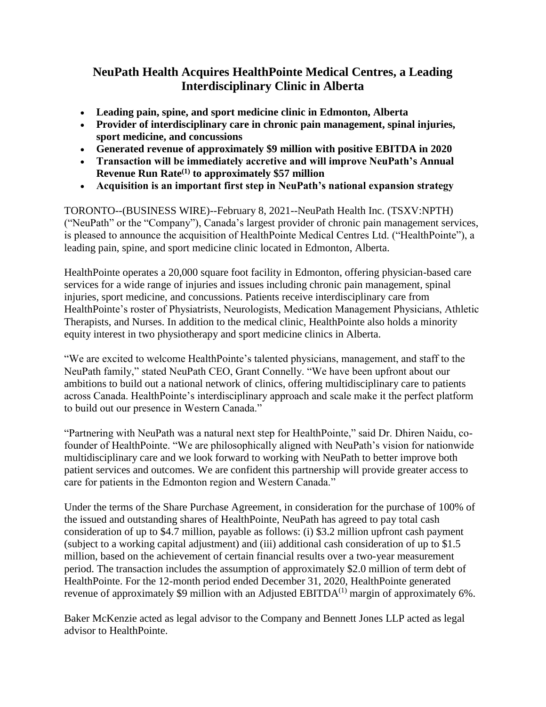# **NeuPath Health Acquires HealthPointe Medical Centres, a Leading Interdisciplinary Clinic in Alberta**

- **Leading pain, spine, and sport medicine clinic in Edmonton, Alberta**
- **Provider of interdisciplinary care in chronic pain management, spinal injuries, sport medicine, and concussions**
- **Generated revenue of approximately \$9 million with positive EBITDA in 2020**
- **Transaction will be immediately accretive and will improve NeuPath's Annual Revenue Run Rate(1) to approximately \$57 million**
- **Acquisition is an important first step in NeuPath's national expansion strategy**

TORONTO--(BUSINESS WIRE)--February 8, 2021--NeuPath Health Inc. (TSXV:NPTH) ("NeuPath" or the "Company"), Canada's largest provider of chronic pain management services, is pleased to announce the acquisition of HealthPointe Medical Centres Ltd. ("HealthPointe"), a leading pain, spine, and sport medicine clinic located in Edmonton, Alberta.

HealthPointe operates a 20,000 square foot facility in Edmonton, offering physician-based care services for a wide range of injuries and issues including chronic pain management, spinal injuries, sport medicine, and concussions. Patients receive interdisciplinary care from HealthPointe's roster of Physiatrists, Neurologists, Medication Management Physicians, Athletic Therapists, and Nurses. In addition to the medical clinic, HealthPointe also holds a minority equity interest in two physiotherapy and sport medicine clinics in Alberta.

"We are excited to welcome HealthPointe's talented physicians, management, and staff to the NeuPath family," stated NeuPath CEO, Grant Connelly. "We have been upfront about our ambitions to build out a national network of clinics, offering multidisciplinary care to patients across Canada. HealthPointe's interdisciplinary approach and scale make it the perfect platform to build out our presence in Western Canada."

"Partnering with NeuPath was a natural next step for HealthPointe," said Dr. Dhiren Naidu, cofounder of HealthPointe. "We are philosophically aligned with NeuPath's vision for nationwide multidisciplinary care and we look forward to working with NeuPath to better improve both patient services and outcomes. We are confident this partnership will provide greater access to care for patients in the Edmonton region and Western Canada."

Under the terms of the Share Purchase Agreement, in consideration for the purchase of 100% of the issued and outstanding shares of HealthPointe, NeuPath has agreed to pay total cash consideration of up to \$4.7 million, payable as follows: (i) \$3.2 million upfront cash payment (subject to a working capital adjustment) and (iii) additional cash consideration of up to \$1.5 million, based on the achievement of certain financial results over a two-year measurement period. The transaction includes the assumption of approximately \$2.0 million of term debt of HealthPointe. For the 12-month period ended December 31, 2020, HealthPointe generated revenue of approximately \$9 million with an Adjusted EBITDA $^{(1)}$  margin of approximately 6%.

Baker McKenzie acted as legal advisor to the Company and Bennett Jones LLP acted as legal advisor to HealthPointe.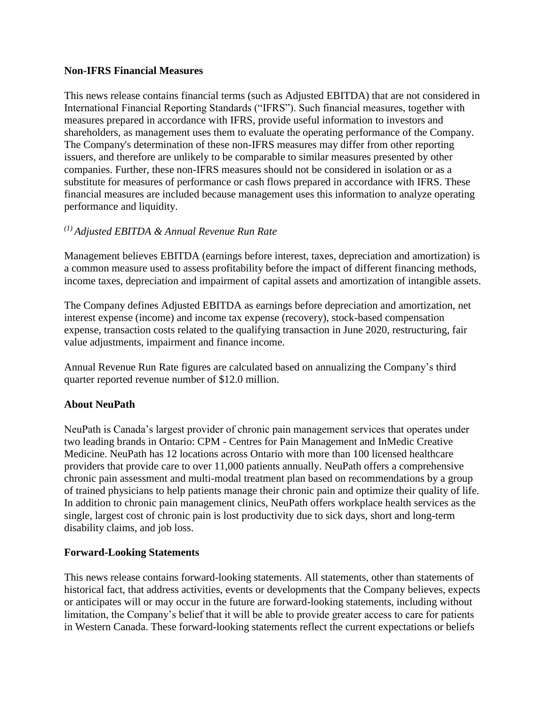#### **Non-IFRS Financial Measures**

This news release contains financial terms (such as Adjusted EBITDA) that are not considered in International Financial Reporting Standards ("IFRS"). Such financial measures, together with measures prepared in accordance with IFRS, provide useful information to investors and shareholders, as management uses them to evaluate the operating performance of the Company. The Company's determination of these non-IFRS measures may differ from other reporting issuers, and therefore are unlikely to be comparable to similar measures presented by other companies. Further, these non-IFRS measures should not be considered in isolation or as a substitute for measures of performance or cash flows prepared in accordance with IFRS. These financial measures are included because management uses this information to analyze operating performance and liquidity.

## *(1) Adjusted EBITDA & Annual Revenue Run Rate*

Management believes EBITDA (earnings before interest, taxes, depreciation and amortization) is a common measure used to assess profitability before the impact of different financing methods, income taxes, depreciation and impairment of capital assets and amortization of intangible assets.

The Company defines Adjusted EBITDA as earnings before depreciation and amortization, net interest expense (income) and income tax expense (recovery), stock-based compensation expense, transaction costs related to the qualifying transaction in June 2020, restructuring, fair value adjustments, impairment and finance income.

Annual Revenue Run Rate figures are calculated based on annualizing the Company's third quarter reported revenue number of \$12.0 million.

## **About NeuPath**

NeuPath is Canada's largest provider of chronic pain management services that operates under two leading brands in Ontario: CPM - Centres for Pain Management and InMedic Creative Medicine. NeuPath has 12 locations across Ontario with more than 100 licensed healthcare providers that provide care to over 11,000 patients annually. NeuPath offers a comprehensive chronic pain assessment and multi-modal treatment plan based on recommendations by a group of trained physicians to help patients manage their chronic pain and optimize their quality of life. In addition to chronic pain management clinics, NeuPath offers workplace health services as the single, largest cost of chronic pain is lost productivity due to sick days, short and long-term disability claims, and job loss.

#### **Forward-Looking Statements**

This news release contains forward-looking statements. All statements, other than statements of historical fact, that address activities, events or developments that the Company believes, expects or anticipates will or may occur in the future are forward-looking statements, including without limitation, the Company's belief that it will be able to provide greater access to care for patients in Western Canada. These forward-looking statements reflect the current expectations or beliefs